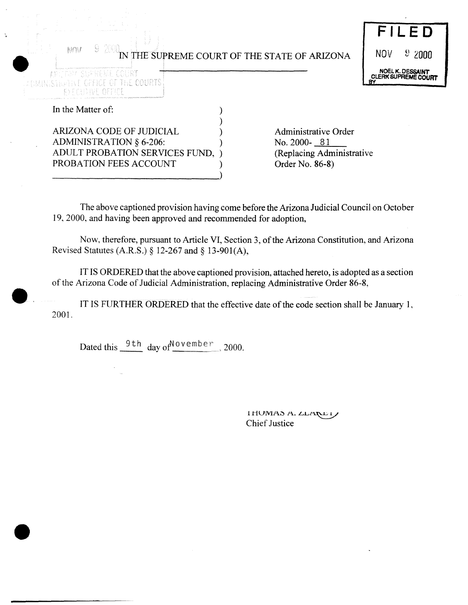|                                                                                                                                                                                                               | FILED                                          |
|---------------------------------------------------------------------------------------------------------------------------------------------------------------------------------------------------------------|------------------------------------------------|
| 유<br>M<br>IN THE SUPREME COURT OF THE STATE OF ARIZONA                                                                                                                                                        | $9\,2000$<br><b>NOV</b>                        |
| ARIJONA SISYEEME OODR<br>A DREINISTINE TO FELLE OF THE COURTS.                                                                                                                                                | NOEL K. DESSAINT<br><b>CLERK SUPREME COURT</b> |
| トアチ 口目 目立り                                                                                                                                                                                                    |                                                |
| In the Matter of:                                                                                                                                                                                             |                                                |
| ARIZONA CODE OF JUDICIAL<br><b>Administrative Order</b><br>ADMINISTRATION § 6-206:<br>No. 2000-81<br>(Replacing Administrative<br>ADULT PROBATION SERVICES FUND,<br>PROBATION FEES ACCOUNT<br>Order No. 86-8) |                                                |

The above captioned provision having come before the Arizona Judicial Council on October 19, 2000, and having been approved and recommended for adoption,

Now, therefore, pursuant to Article VI, Section 3, of the Arizona Constitution, and Arizona Revised Statutes (A.R.S.) § 12-267 and § 13-901(A),

IT IS ORDERED that the above captioned provision, attached hereto, is adopted as a section of the Arizona Code of Judicial Administration, replacing Administrative Order 86-8,

IT IS FURTHER ORDERED that the effective date of the code section shall be January 1, 2001.

Dated this  $\frac{9 \text{ th}}{1}$  day of  $\frac{100 \text{ v}}{1000}$  2000.

I HUMAS A. LLARET **Chief Justice**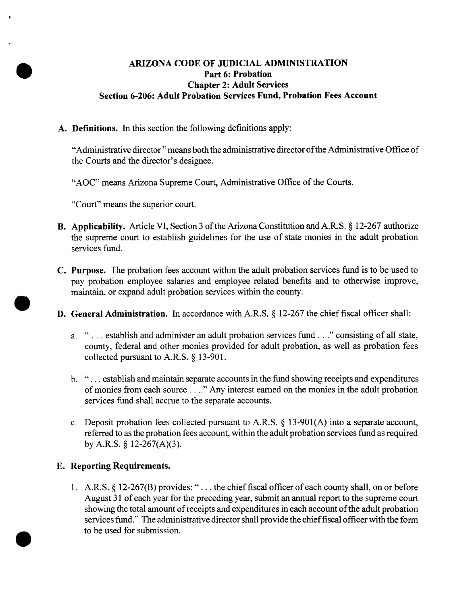## **ARIZONA CODE OF JUDICIAL ADMINISTRATION Part 6: Probation Chapter 2: Adult** Services **Section 6-206: Adult Probation Services Fund, Probation Fees Account**

**A. Definitions. In** this section the following definitions apply:

"Administrative director" means both the administrative director of the Administrative Office of the Courts and the director's designee.

"AOC" means Arizona Supreme Court, Administrative Office of the Courts.

"Court" means the superior court.

- B. Applicability. Article VI, Section 3 of the Arizona Constitution and A.R.S. § 12-267 authorize the supreme court to establish guidelines for the use of state monies in the adult probation services fund.
- **C. Purpose.** The probation fees account within the adult probation services fund is to be used to pay probation employee salaries and employee related benefits and to otherwise improve, maintain, or expand adult probation services within the county.
- **D.** General Administration. In accordance with A.R.S. § 12-267 the chief fiscal officer shall:
	- a. "...establish and administer an adult probation services fund..." consisting of all state, county, federal and other monies provided for adult probation, as well as probation fees collected pursuant to A.R.S. § 13-901.
	- b. ". . . establish and maintain separate accounts in the fund showing receipts and expenditures of monies from each source . . .." Any interest earned on the monies in the adult probation services fund shall accrue to the separate accounts.
	- c. Deposit probation fees collected pursuant to A.R.S.  $\S$  13-901(A) into a separate account, referred to as the probation fees account, within the adult probation services fund as required by A.R.S.  $\S$  12-267(A)(3).

## **E. Reporting Requirements.**

1. A.R.S.  $\S$  12-267(B) provides: "... the chief fiscal officer of each county shall, on or before August 31 of each year for the preceding year, submit an annual report to the supreme court showing the total amount of receipts and expenditures in each account of the adult probation services fund." The administrative director shall provide the chief fiscal officer with the form to be used for submission.